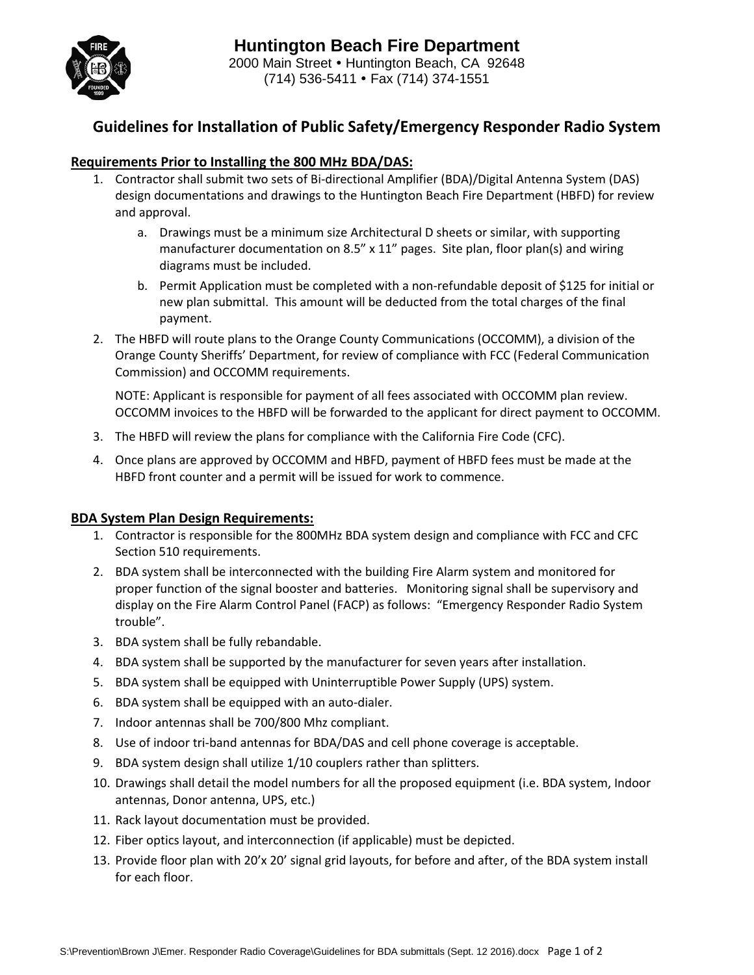

## **Guidelines for Installation of Public Safety/Emergency Responder Radio System**

#### **Requirements Prior to Installing the 800 MHz BDA/DAS:**

- 1. Contractor shall submit two sets of Bi-directional Amplifier (BDA)/Digital Antenna System (DAS) design documentations and drawings to the Huntington Beach Fire Department (HBFD) for review and approval.
	- a. Drawings must be a minimum size Architectural D sheets or similar, with supporting manufacturer documentation on 8.5"  $\times$  11" pages. Site plan, floor plan(s) and wiring diagrams must be included.
	- b. Permit Application must be completed with a non-refundable deposit of \$125 for initial or new plan submittal. This amount will be deducted from the total charges of the final payment.
- 2. The HBFD will route plans to the Orange County Communications (OCCOMM), a division of the Orange County Sheriffs' Department, for review of compliance with FCC (Federal Communication Commission) and OCCOMM requirements.

NOTE: Applicant is responsible for payment of all fees associated with OCCOMM plan review. OCCOMM invoices to the HBFD will be forwarded to the applicant for direct payment to OCCOMM.

- 3. The HBFD will review the plans for compliance with the California Fire Code (CFC).
- 4. Once plans are approved by OCCOMM and HBFD, payment of HBFD fees must be made at the HBFD front counter and a permit will be issued for work to commence.

#### **BDA System Plan Design Requirements:**

- 1. Contractor is responsible for the 800MHz BDA system design and compliance with FCC and CFC Section 510 requirements.
- 2. BDA system shall be interconnected with the building Fire Alarm system and monitored for proper function of the signal booster and batteries. Monitoring signal shall be supervisory and display on the Fire Alarm Control Panel (FACP) as follows: "Emergency Responder Radio System trouble".
- 3. BDA system shall be fully rebandable.
- 4. BDA system shall be supported by the manufacturer for seven years after installation.
- 5. BDA system shall be equipped with Uninterruptible Power Supply (UPS) system.
- 6. BDA system shall be equipped with an auto-dialer.
- 7. Indoor antennas shall be 700/800 Mhz compliant.
- 8. Use of indoor tri-band antennas for BDA/DAS and cell phone coverage is acceptable.
- 9. BDA system design shall utilize 1/10 couplers rather than splitters.
- 10. Drawings shall detail the model numbers for all the proposed equipment (i.e. BDA system, Indoor antennas, Donor antenna, UPS, etc.)
- 11. Rack layout documentation must be provided.
- 12. Fiber optics layout, and interconnection (if applicable) must be depicted.
- 13. Provide floor plan with 20'x 20' signal grid layouts, for before and after, of the BDA system install for each floor.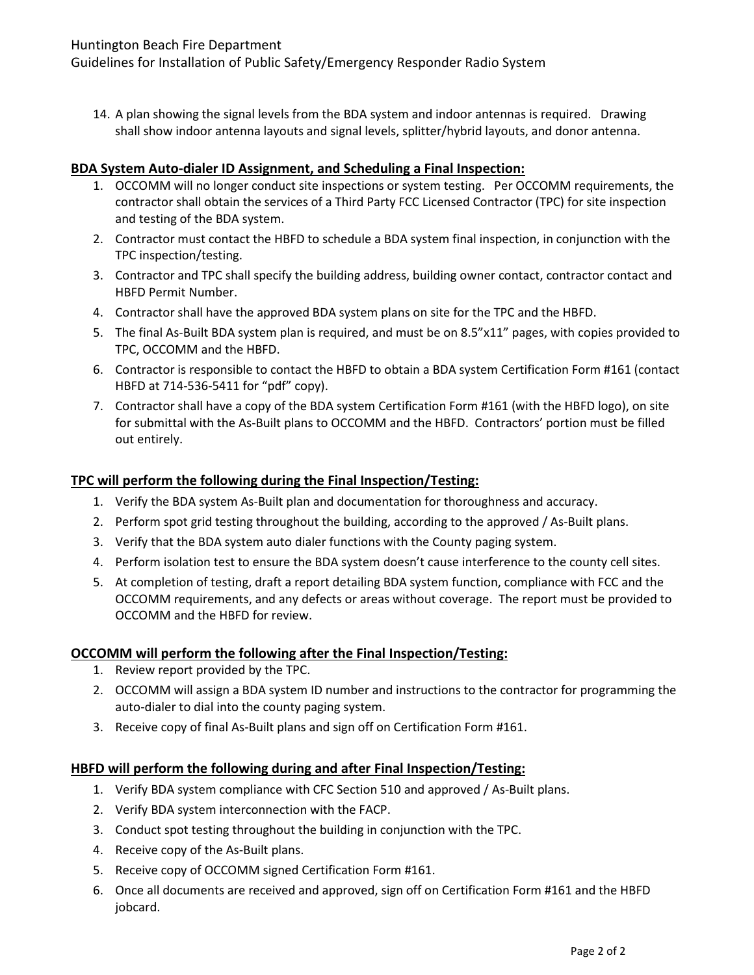Guidelines for Installation of Public Safety/Emergency Responder Radio System

14. A plan showing the signal levels from the BDA system and indoor antennas is required. Drawing shall show indoor antenna layouts and signal levels, splitter/hybrid layouts, and donor antenna.

#### **BDA System Auto-dialer ID Assignment, and Scheduling a Final Inspection:**

- 1. OCCOMM will no longer conduct site inspections or system testing. Per OCCOMM requirements, the contractor shall obtain the services of a Third Party FCC Licensed Contractor (TPC) for site inspection and testing of the BDA system.
- 2. Contractor must contact the HBFD to schedule a BDA system final inspection, in conjunction with the TPC inspection/testing.
- 3. Contractor and TPC shall specify the building address, building owner contact, contractor contact and HBFD Permit Number.
- 4. Contractor shall have the approved BDA system plans on site for the TPC and the HBFD.
- 5. The final As-Built BDA system plan is required, and must be on 8.5"x11" pages, with copies provided to TPC, OCCOMM and the HBFD.
- 6. Contractor is responsible to contact the HBFD to obtain a BDA system Certification Form #161 (contact HBFD at 714-536-5411 for "pdf" copy).
- 7. Contractor shall have a copy of the BDA system Certification Form #161 (with the HBFD logo), on site for submittal with the As-Built plans to OCCOMM and the HBFD. Contractors' portion must be filled out entirely.

#### **TPC will perform the following during the Final Inspection/Testing:**

- 1. Verify the BDA system As-Built plan and documentation for thoroughness and accuracy.
- 2. Perform spot grid testing throughout the building, according to the approved / As-Built plans.
- 3. Verify that the BDA system auto dialer functions with the County paging system.
- 4. Perform isolation test to ensure the BDA system doesn't cause interference to the county cell sites.
- 5. At completion of testing, draft a report detailing BDA system function, compliance with FCC and the OCCOMM requirements, and any defects or areas without coverage. The report must be provided to OCCOMM and the HBFD for review.

### **OCCOMM will perform the following after the Final Inspection/Testing:**

- 1. Review report provided by the TPC.
- 2. OCCOMM will assign a BDA system ID number and instructions to the contractor for programming the auto-dialer to dial into the county paging system.
- 3. Receive copy of final As-Built plans and sign off on Certification Form #161.

### **HBFD will perform the following during and after Final Inspection/Testing:**

- 1. Verify BDA system compliance with CFC Section 510 and approved / As-Built plans.
- 2. Verify BDA system interconnection with the FACP.
- 3. Conduct spot testing throughout the building in conjunction with the TPC.
- 4. Receive copy of the As-Built plans.
- 5. Receive copy of OCCOMM signed Certification Form #161.
- 6. Once all documents are received and approved, sign off on Certification Form #161 and the HBFD jobcard.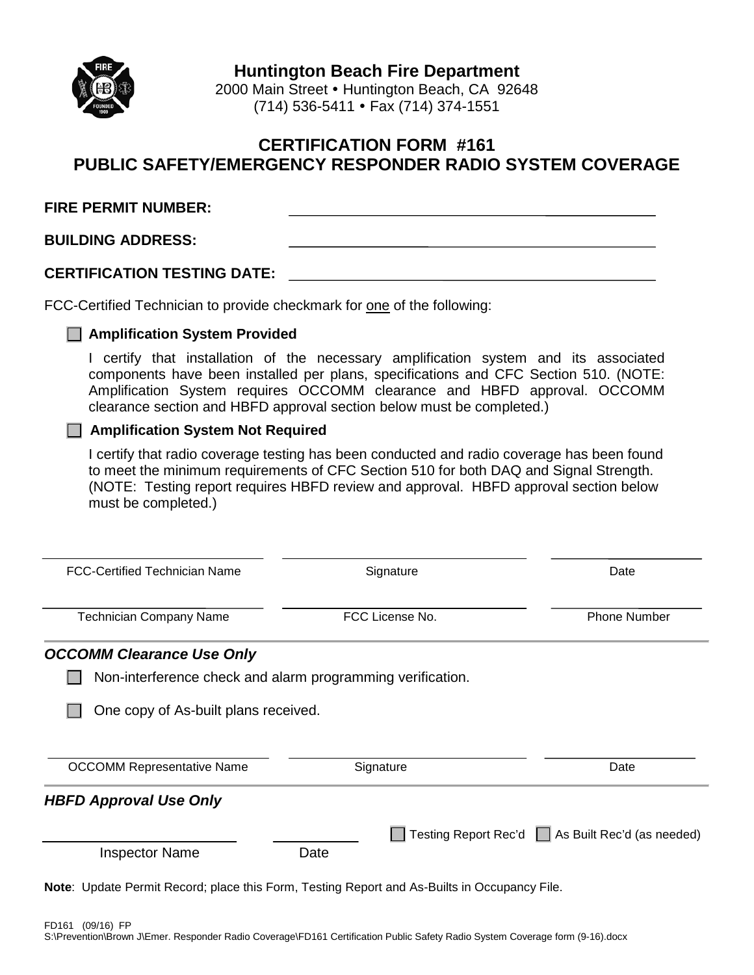

**Huntington Beach Fire Department**

2000 Main Street • Huntington Beach, CA 92648 (714) 536-5411 Fax (714) 374-1551

### **CERTIFICATION FORM #161 PUBLIC SAFETY/EMERGENCY RESPONDER RADIO SYSTEM COVERAGE**

| <b>FIRE PERMIT NUMBER:</b>         |  |
|------------------------------------|--|
| <b>BUILDING ADDRESS:</b>           |  |
| <b>CERTIFICATION TESTING DATE:</b> |  |

FCC-Certified Technician to provide checkmark for one of the following:

#### **Amplification System Provided**

I certify that installation of the necessary amplification system and its associated components have been installed per plans, specifications and CFC Section 510. (NOTE: Amplification System requires OCCOMM clearance and HBFD approval. OCCOMM clearance section and HBFD approval section below must be completed.)

### **Amplification System Not Required**

I certify that radio coverage testing has been conducted and radio coverage has been found to meet the minimum requirements of CFC Section 510 for both DAQ and Signal Strength. (NOTE: Testing report requires HBFD review and approval. HBFD approval section below must be completed.)

| <b>FCC-Certified Technician Name</b>                                                                | Signature       | Date                                              |
|-----------------------------------------------------------------------------------------------------|-----------------|---------------------------------------------------|
| <b>Technician Company Name</b>                                                                      | FCC License No. | <b>Phone Number</b>                               |
| <b>OCCOMM Clearance Use Only</b>                                                                    |                 |                                                   |
| Non-interference check and alarm programming verification.                                          |                 |                                                   |
| One copy of As-built plans received.                                                                |                 |                                                   |
|                                                                                                     |                 |                                                   |
| <b>OCCOMM Representative Name</b>                                                                   | Signature       | Date                                              |
| <b>HBFD Approval Use Only</b>                                                                       |                 |                                                   |
| <b>Inspector Name</b>                                                                               | Date            | Testing Report Rec'd □ As Built Rec'd (as needed) |
| <b>Note:</b> Update Permit Record; place this Form, Testing Report and As-Builts in Occupancy File. |                 |                                                   |

FD161 (09/16) FP S:\Prevention\Brown J\Emer. Responder Radio Coverage\FD161 Certification Public Safety Radio System Coverage form (9-16).docx